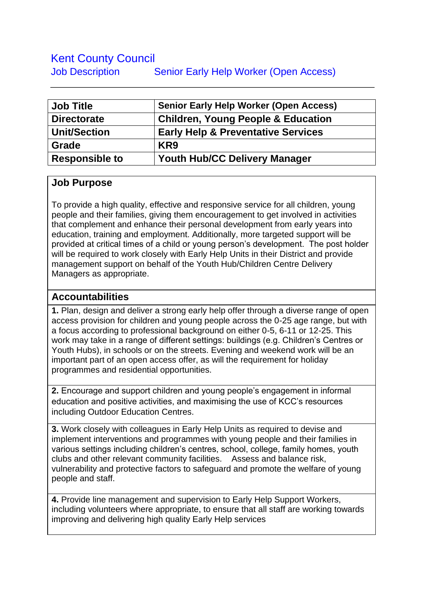## Kent County Council Job Description Senior Early Help Worker (Open Access)

| <b>Job Title</b>      | <b>Senior Early Help Worker (Open Access)</b> |
|-----------------------|-----------------------------------------------|
| <b>Directorate</b>    | <b>Children, Young People &amp; Education</b> |
| <b>Unit/Section</b>   | <b>Early Help &amp; Preventative Services</b> |
| Grade                 | KR <sub>9</sub>                               |
| <b>Responsible to</b> | <b>Youth Hub/CC Delivery Manager</b>          |

## **Job Purpose**

To provide a high quality, effective and responsive service for all children, young people and their families, giving them encouragement to get involved in activities that complement and enhance their personal development from early years into education, training and employment. Additionally, more targeted support will be provided at critical times of a child or young person's development. The post holder will be required to work closely with Early Help Units in their District and provide management support on behalf of the Youth Hub/Children Centre Delivery Managers as appropriate.

## **Accountabilities**

**1.** Plan, design and deliver a strong early help offer through a diverse range of open access provision for children and young people across the 0-25 age range, but with a focus according to professional background on either 0-5, 6-11 or 12-25. This work may take in a range of different settings: buildings (e.g. Children's Centres or Youth Hubs), in schools or on the streets. Evening and weekend work will be an important part of an open access offer, as will the requirement for holiday programmes and residential opportunities.

**2.** Encourage and support children and young people's engagement in informal education and positive activities, and maximising the use of KCC's resources including Outdoor Education Centres.

**3.** Work closely with colleagues in Early Help Units as required to devise and implement interventions and programmes with young people and their families in various settings including children's centres, school, college, family homes, youth clubs and other relevant community facilities. Assess and balance risk, vulnerability and protective factors to safeguard and promote the welfare of young people and staff.

**4.** Provide line management and supervision to Early Help Support Workers, including volunteers where appropriate, to ensure that all staff are working towards improving and delivering high quality Early Help services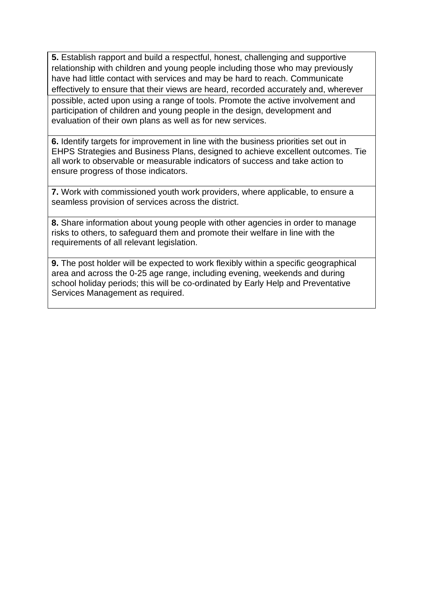**5.** Establish rapport and build a respectful, honest, challenging and supportive relationship with children and young people including those who may previously have had little contact with services and may be hard to reach. Communicate effectively to ensure that their views are heard, recorded accurately and, wherever possible, acted upon using a range of tools. Promote the active involvement and participation of children and young people in the design, development and evaluation of their own plans as well as for new services.

**6.** Identify targets for improvement in line with the business priorities set out in EHPS Strategies and Business Plans, designed to achieve excellent outcomes. Tie all work to observable or measurable indicators of success and take action to ensure progress of those indicators.

**7.** Work with commissioned youth work providers, where applicable, to ensure a seamless provision of services across the district.

**8.** Share information about young people with other agencies in order to manage risks to others, to safeguard them and promote their welfare in line with the requirements of all relevant legislation.

**9.** The post holder will be expected to work flexibly within a specific geographical area and across the 0-25 age range, including evening, weekends and during school holiday periods; this will be co-ordinated by Early Help and Preventative Services Management as required.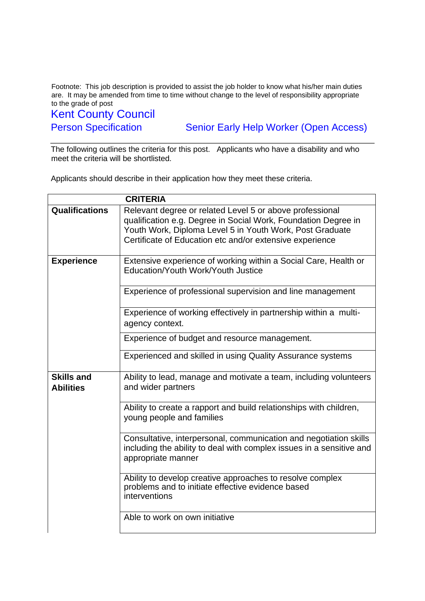Footnote: This job description is provided to assist the job holder to know what his/her main duties are. It may be amended from time to time without change to the level of responsibility appropriate to the grade of post

Kent County Council

Person Specification Senior Early Help Worker (Open Access)

The following outlines the criteria for this post. Applicants who have a disability and who meet the criteria will be shortlisted.

Applicants should describe in their application how they meet these criteria.

| <b>CRITERIA</b>                       |                                                                                                                                                                                                                                                    |
|---------------------------------------|----------------------------------------------------------------------------------------------------------------------------------------------------------------------------------------------------------------------------------------------------|
| <b>Qualifications</b>                 | Relevant degree or related Level 5 or above professional<br>qualification e.g. Degree in Social Work, Foundation Degree in<br>Youth Work, Diploma Level 5 in Youth Work, Post Graduate<br>Certificate of Education etc and/or extensive experience |
| <b>Experience</b>                     | Extensive experience of working within a Social Care, Health or<br>Education/Youth Work/Youth Justice                                                                                                                                              |
|                                       | Experience of professional supervision and line management                                                                                                                                                                                         |
|                                       | Experience of working effectively in partnership within a multi-<br>agency context.                                                                                                                                                                |
|                                       | Experience of budget and resource management.                                                                                                                                                                                                      |
|                                       | Experienced and skilled in using Quality Assurance systems                                                                                                                                                                                         |
| <b>Skills and</b><br><b>Abilities</b> | Ability to lead, manage and motivate a team, including volunteers<br>and wider partners                                                                                                                                                            |
|                                       | Ability to create a rapport and build relationships with children,<br>young people and families                                                                                                                                                    |
|                                       | Consultative, interpersonal, communication and negotiation skills<br>including the ability to deal with complex issues in a sensitive and<br>appropriate manner                                                                                    |
|                                       | Ability to develop creative approaches to resolve complex<br>problems and to initiate effective evidence based<br>interventions                                                                                                                    |
|                                       | Able to work on own initiative                                                                                                                                                                                                                     |